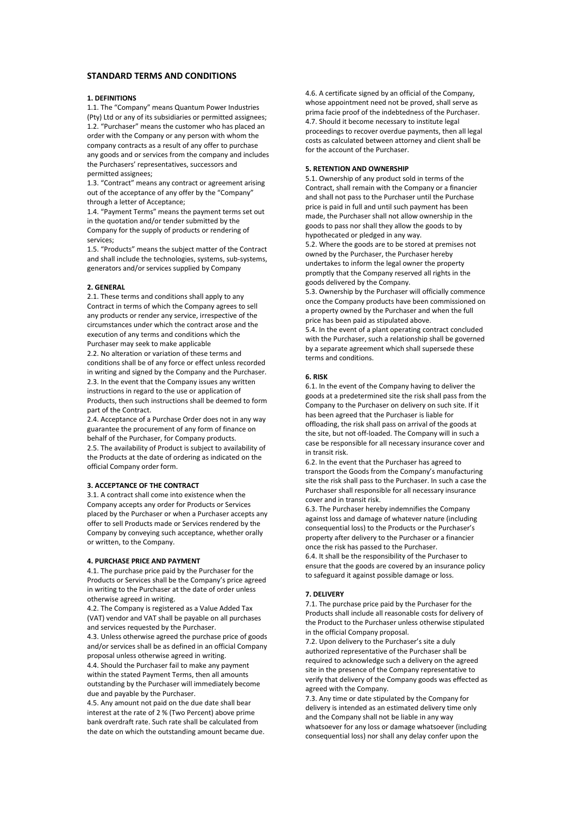# **STANDARD TERMS AND CONDITIONS**

## **1. DEFINITIONS**

1.1. The "Company" means Quantum Power Industries (Pty) Ltd or any of its subsidiaries or permitted assignees; 1.2. "Purchaser" means the customer who has placed an order with the Company or any person with whom the company contracts as a result of any offer to purchase any goods and or services from the company and includes the Purchasers' representatives, successors and permitted assignees;

1.3. "Contract" means any contract or agreement arising out of the acceptance of any offer by the "Company" through a letter of Acceptance;

1.4. "Payment Terms" means the payment terms set out in the quotation and/or tender submitted by the Company for the supply of products or rendering of services;

1.5. "Products" means the subject matter of the Contract and shall include the technologies, systems, sub-systems, generators and/or services supplied by Company

### **2. GENERAL**

2.1. These terms and conditions shall apply to any Contract in terms of which the Company agrees to sell any products or render any service, irrespective of the circumstances under which the contract arose and the execution of any terms and conditions which the Purchaser may seek to make applicable

2.2. No alteration or variation of these terms and conditions shall be of any force or effect unless recorded in writing and signed by the Company and the Purchaser. 2.3. In the event that the Company issues any written instructions in regard to the use or application of Products, then such instructions shall be deemed to form part of the Contract.

2.4. Acceptance of a Purchase Order does not in any way guarantee the procurement of any form of finance on behalf of the Purchaser, for Company products. 2.5. The availability of Product is subject to availability of the Products at the date of ordering as indicated on the official Company order form.

#### **3. ACCEPTANCE OF THE CONTRACT**

3.1. A contract shall come into existence when the Company accepts any order for Products or Services placed by the Purchaser or when a Purchaser accepts any offer to sell Products made or Services rendered by the Company by conveying such acceptance, whether orally or written, to the Company.

#### **4. PURCHASE PRICE AND PAYMENT**

4.1. The purchase price paid by the Purchaser for the Products or Services shall be the Company's price agreed in writing to the Purchaser at the date of order unless otherwise agreed in writing.

4.2. The Company is registered as a Value Added Tax (VAT) vendor and VAT shall be payable on all purchases and services requested by the Purchaser.

4.3. Unless otherwise agreed the purchase price of goods and/or services shall be as defined in an official Company proposal unless otherwise agreed in writing.

4.4. Should the Purchaser fail to make any payment within the stated Payment Terms, then all amounts outstanding by the Purchaser will immediately become due and payable by the Purchaser.

4.5. Any amount not paid on the due date shall bear interest at the rate of 2 % (Two Percent) above prime bank overdraft rate. Such rate shall be calculated from the date on which the outstanding amount became due. 4.6. A certificate signed by an official of the Company, whose appointment need not be proved, shall serve as prima facie proof of the indebtedness of the Purchaser. 4.7. Should it become necessary to institute legal proceedings to recover overdue payments, then all legal costs as calculated between attorney and client shall be for the account of the Purchaser.

### **5. RETENTION AND OWNERSHIP**

5.1. Ownership of any product sold in terms of the Contract, shall remain with the Company or a financier and shall not pass to the Purchaser until the Purchase price is paid in full and until such payment has been made, the Purchaser shall not allow ownership in the goods to pass nor shall they allow the goods to by hypothecated or pledged in any way.

5.2. Where the goods are to be stored at premises not owned by the Purchaser, the Purchaser hereby undertakes to inform the legal owner the property promptly that the Company reserved all rights in the goods delivered by the Company.

5.3. Ownership by the Purchaser will officially commence once the Company products have been commissioned on a property owned by the Purchaser and when the full price has been paid as stipulated above.

5.4. In the event of a plant operating contract concluded with the Purchaser, such a relationship shall be governed by a separate agreement which shall supersede these terms and conditions.

### **6. RISK**

6.1. In the event of the Company having to deliver the goods at a predetermined site the risk shall pass from the Company to the Purchaser on delivery on such site. If it has been agreed that the Purchaser is liable for offloading, the risk shall pass on arrival of the goods at the site, but not off-loaded. The Company will in such a case be responsible for all necessary insurance cover and in transit risk.

6.2. In the event that the Purchaser has agreed to transport the Goods from the Company's manufacturing site the risk shall pass to the Purchaser. In such a case the Purchaser shall responsible for all necessary insurance cover and in transit risk.

6.3. The Purchaser hereby indemnifies the Company against loss and damage of whatever nature (including consequential loss) to the Products or the Purchaser's property after delivery to the Purchaser or a financier once the risk has passed to the Purchaser. 6.4. It shall be the responsibility of the Purchaser to ensure that the goods are covered by an insurance policy to safeguard it against possible damage or loss.

#### **7. DELIVERY**

7.1. The purchase price paid by the Purchaser for the Products shall include all reasonable costs for delivery of the Product to the Purchaser unless otherwise stipulated in the official Company proposal.

7.2. Upon delivery to the Purchaser's site a duly authorized representative of the Purchaser shall be required to acknowledge such a delivery on the agreed site in the presence of the Company representative to verify that delivery of the Company goods was effected as agreed with the Company.

7.3. Any time or date stipulated by the Company for delivery is intended as an estimated delivery time only and the Company shall not be liable in any way whatsoever for any loss or damage whatsoever (including consequential loss) nor shall any delay confer upon the